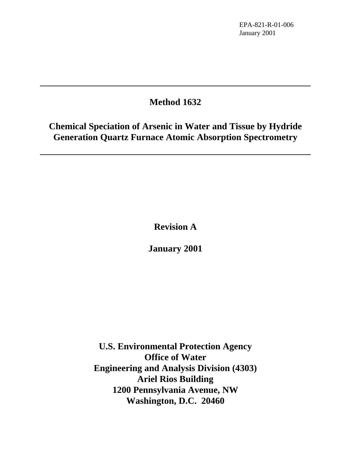# **Method 1632**

**Chemical Speciation of Arsenic in Water and Tissue by Hydride Generation Quartz Furnace Atomic Absorption Spectrometry**

**Revision A**

**January 2001**

**U.S. Environmental Protection Agency Office of Water Engineering and Analysis Division (4303) Ariel Rios Building 1200 Pennsylvania Avenue, NW Washington, D.C. 20460**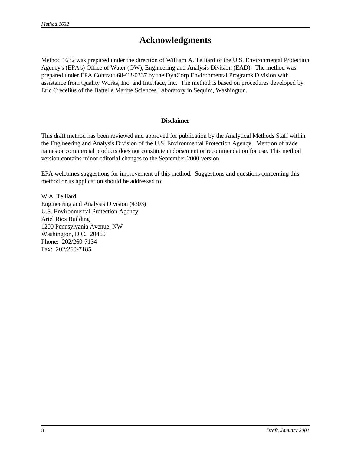# **Acknowledgments**

Method 1632 was prepared under the direction of William A. Telliard of the U.S. Environmental Protection Agency's (EPA's) Office of Water (OW), Engineering and Analysis Division (EAD). The method was prepared under EPA Contract 68-C3-0337 by the DynCorp Environmental Programs Division with assistance from Quality Works, Inc. and Interface, Inc. The method is based on procedures developed by Eric Crecelius of the Battelle Marine Sciences Laboratory in Sequim, Washington.

### **Disclaimer**

This draft method has been reviewed and approved for publication by the Analytical Methods Staff within the Engineering and Analysis Division of the U.S. Environmental Protection Agency. Mention of trade names or commercial products does not constitute endorsement or recommendation for use. This method version contains minor editorial changes to the September 2000 version.

EPA welcomes suggestions for improvement of this method. Suggestions and questions concerning this method or its application should be addressed to:

W.A. Telliard Engineering and Analysis Division (4303) U.S. Environmental Protection Agency Ariel Rios Building 1200 Pennsylvania Avenue, NW Washington, D.C. 20460 Phone: 202/260-7134 Fax: 202/260-7185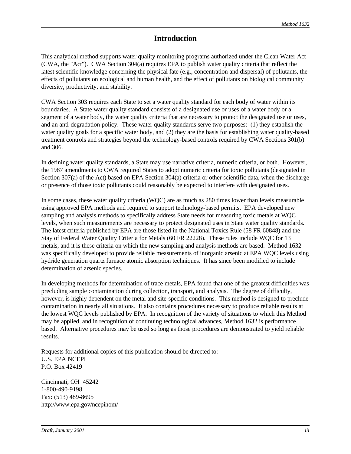## **Introduction**

This analytical method supports water quality monitoring programs authorized under the Clean Water Act (CWA, the "Act"). CWA Section 304(a) requires EPA to publish water quality criteria that reflect the latest scientific knowledge concerning the physical fate (e.g., concentration and dispersal) of pollutants, the effects of pollutants on ecological and human health, and the effect of pollutants on biological community diversity, productivity, and stability.

CWA Section 303 requires each State to set a water quality standard for each body of water within its boundaries. A State water quality standard consists of a designated use or uses of a water body or a segment of a water body, the water quality criteria that are necessary to protect the designated use or uses, and an anti-degradation policy. These water quality standards serve two purposes: (1) they establish the water quality goals for a specific water body, and (2) they are the basis for establishing water quality-based treatment controls and strategies beyond the technology-based controls required by CWA Sections 301(b) and 306.

In defining water quality standards, a State may use narrative criteria, numeric criteria, or both. However, the 1987 amendments to CWA required States to adopt numeric criteria for toxic pollutants (designated in Section 307(a) of the Act) based on EPA Section 304(a) criteria or other scientific data, when the discharge or presence of those toxic pollutants could reasonably be expected to interfere with designated uses.

In some cases, these water quality criteria (WQC) are as much as 280 times lower than levels measurable using approved EPA methods and required to support technology-based permits. EPA developed new sampling and analysis methods to specifically address State needs for measuring toxic metals at WQC levels, when such measurements are necessary to protect designated uses in State water quality standards. The latest criteria published by EPA are those listed in the National Toxics Rule (58 FR 60848) and the Stay of Federal Water Quality Criteria for Metals (60 FR 22228). These rules include WQC for 13 metals, and it is these criteria on which the new sampling and analysis methods are based. Method 1632 was specifically developed to provide reliable measurements of inorganic arsenic at EPA WQC levels using hydride generation quartz furnace atomic absorption techniques. It has since been modified to include determination of arsenic species.

In developing methods for determination of trace metals, EPA found that one of the greatest difficulties was precluding sample contamination during collection, transport, and analysis. The degree of difficulty, however, is highly dependent on the metal and site-specific conditions. This method is designed to preclude contamination in nearly all situations. It also contains procedures necessary to produce reliable results at the lowest WQC levels published by EPA. In recognition of the variety of situations to which this Method may be applied, and in recognition of continuing technological advances, Method 1632 is performance based. Alternative procedures may be used so long as those procedures are demonstrated to yield reliable results.

Requests for additional copies of this publication should be directed to: U.S. EPA NCEPI P.O. Box 42419

Cincinnati, OH 45242 1-800-490-9198 Fax: (513) 489-8695 http://www.epa.gov/ncepihom/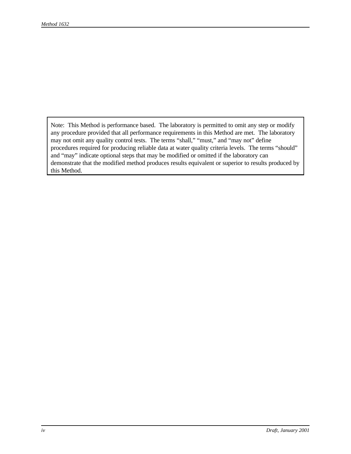Note: This Method is performance based. The laboratory is permitted to omit any step or modify any procedure provided that all performance requirements in this Method are met. The laboratory may not omit any quality control tests. The terms "shall," "must," and "may not" define procedures required for producing reliable data at water quality criteria levels. The terms "should" and "may" indicate optional steps that may be modified or omitted if the laboratory can demonstrate that the modified method produces results equivalent or superior to results produced by this Method.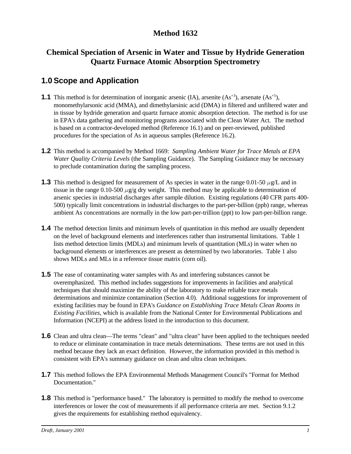## **Method 1632**

## **Chemical Speciation of Arsenic in Water and Tissue by Hydride Generation Quartz Furnace Atomic Absorption Spectrometry**

# **1.0 Scope and Application**

- **1.1** This method is for determination of inorganic arsenic (IA), arsenite  $(As^{+3})$ , arsenate  $(As^{+5})$ , monomethylarsonic acid (MMA), and dimethylarsinic acid (DMA) in filtered and unfiltered water and in tissue by hydride generation and quartz furnace atomic absorption detection. The method is for use in EPA's data gathering and monitoring programs associated with the Clean Water Act. The method is based on a contractor-developed method (Reference 16.1) and on peer-reviewed, published procedures for the speciation of As in aqueous samples (Reference 16.2).
- **1.2** This method is accompanied by Method 1669: *Sampling Ambient Water for Trace Metals at EPA Water Quality Criteria Levels* (the Sampling Guidance). The Sampling Guidance may be necessary to preclude contamination during the sampling process.
- **1.3** This method is designed for measurement of As species in water in the range 0.01-50  $\mu$ g/L and in tissue in the range 0.10-500  $\mu$ g/g dry weight. This method may be applicable to determination of arsenic species in industrial discharges after sample dilution. Existing regulations (40 CFR parts 400- 500) typically limit concentrations in industrial discharges to the part-per-billion (ppb) range, whereas ambient As concentrations are normally in the low part-per-trillion (ppt) to low part-per-billion range.
- **1.4** The method detection limits and minimum levels of quantitation in this method are usually dependent on the level of background elements and interferences rather than instrumental limitations. Table 1 lists method detection limits (MDLs) and minimum levels of quantitation (MLs) in water when no background elements or interferences are present as determined by two laboratories. Table 1 also shows MDLs and MLs in a reference tissue matrix (corn oil).
- **1.5** The ease of contaminating water samples with As and interfering substances cannot be overemphasized. This method includes suggestions for improvements in facilities and analytical techniques that should maximize the ability of the laboratory to make reliable trace metals determinations and minimize contamination (Section 4.0). Additional suggestions for improvement of existing facilities may be found in EPA's *Guidance on Establishing Trace Metals Clean Rooms in Existing Facilities*, which is available from the National Center for Environmental Publications and Information (NCEPI) at the address listed in the introduction to this document.
- **1.6** Clean and ultra clean—The terms "clean" and "ultra clean" have been applied to the techniques needed to reduce or eliminate contamination in trace metals determinations. These terms are not used in this method because they lack an exact definition. However, the information provided in this method is consistent with EPA's summary guidance on clean and ultra clean techniques.
- **1.7** This method follows the EPA Environmental Methods Management Council's "Format for Method Documentation."
- **1.8** This method is "performance based." The laboratory is permitted to modify the method to overcome interferences or lower the cost of measurements if all performance criteria are met. Section 9.1.2 gives the requirements for establishing method equivalency.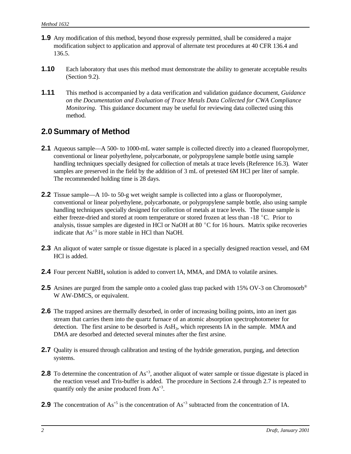- **1.9** Any modification of this method, beyond those expressly permitted, shall be considered a major modification subject to application and approval of alternate test procedures at 40 CFR 136.4 and 136.5.
- **1.10** Each laboratory that uses this method must demonstrate the ability to generate acceptable results (Section 9.2).
- **1.11** This method is accompanied by a data verification and validation guidance document, *Guidance on the Documentation and Evaluation of Trace Metals Data Collected for CWA Compliance Monitoring*. This guidance document may be useful for reviewing data collected using this method.

## **2.0 Summary of Method**

- **2.1** Aqueous sample—A 500- to 1000-mL water sample is collected directly into a cleaned fluoropolymer, conventional or linear polyethylene, polycarbonate, or polypropylene sample bottle using sample handling techniques specially designed for collection of metals at trace levels (Reference 16.3). Water samples are preserved in the field by the addition of 3 mL of pretested 6M HCl per liter of sample. The recommended holding time is 28 days.
- **2.2** Tissue sample—A 10- to 50-g wet weight sample is collected into a glass or fluoropolymer, conventional or linear polyethylene, polycarbonate, or polypropylene sample bottle, also using sample handling techniques specially designed for collection of metals at trace levels. The tissue sample is either freeze-dried and stored at room temperature or stored frozen at less than -18 °C. Prior to analysis, tissue samples are digested in HCl or NaOH at 80 $\degree$ C for 16 hours. Matrix spike recoveries indicate that  $As^{+3}$  is more stable in HCl than NaOH.
- **2.3** An aliquot of water sample or tissue digestate is placed in a specially designed reaction vessel, and 6M HCl is added.
- **2.4** Four percent NaBH<sub>4</sub> solution is added to convert IA, MMA, and DMA to volatile arsines.
- **2.5** Arsines are purged from the sample onto a cooled glass trap packed with 15% OV-3 on Chromosorb<sup>®</sup> W AW-DMCS, or equivalent.
- **2.6** The trapped arsines are thermally desorbed, in order of increasing boiling points, into an inert gas stream that carries them into the quartz furnace of an atomic absorption spectrophotometer for detection. The first arsine to be desorbed is AsH<sub>3</sub>, which represents IA in the sample. MMA and DMA are desorbed and detected several minutes after the first arsine.
- **2.7** Quality is ensured through calibration and testing of the hydride generation, purging, and detection systems.
- **2.8** To determine the concentration of  $As^{3}$ , another aliquot of water sample or tissue digestate is placed in the reaction vessel and Tris-buffer is added. The procedure in Sections 2.4 through 2.7 is repeated to quantify only the arsine produced from  $As^{+3}$ .
- **2.9** The concentration of  $As^{+5}$  is the concentration of  $As^{+3}$  subtracted from the concentration of IA.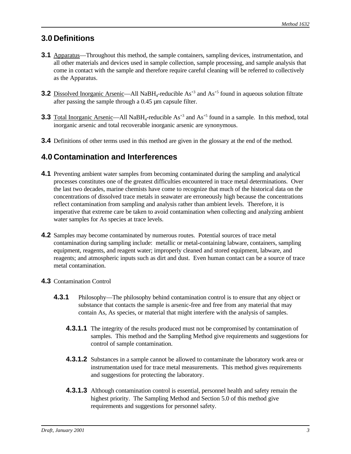# **3.0 Definitions**

- **3.1** Apparatus—Throughout this method, the sample containers, sampling devices, instrumentation, and all other materials and devices used in sample collection, sample processing, and sample analysis that come in contact with the sample and therefore require careful cleaning will be referred to collectively as the Apparatus.
- **3.2** Dissolved Inorganic Arsenic—All NaBH<sub>4</sub>-reducible As<sup>+3</sup> and As<sup>+5</sup> found in aqueous solution filtrate after passing the sample through a 0.45 µm capsule filter.
- **3.3** Total Inorganic Arsenic—All NaBH<sub>4</sub>-reducible  $As^{+3}$  and  $As^{+5}$  found in a sample. In this method, total inorganic arsenic and total recoverable inorganic arsenic are synonymous.
- **3.4** Definitions of other terms used in this method are given in the glossary at the end of the method.

# **4.0 Contamination and Interferences**

- **4.1** Preventing ambient water samples from becoming contaminated during the sampling and analytical processes constitutes one of the greatest difficulties encountered in trace metal determinations. Over the last two decades, marine chemists have come to recognize that much of the historical data on the concentrations of dissolved trace metals in seawater are erroneously high because the concentrations reflect contamination from sampling and analysis rather than ambient levels. Therefore, it is imperative that extreme care be taken to avoid contamination when collecting and analyzing ambient water samples for As species at trace levels.
- **4.2** Samples may become contaminated by numerous routes. Potential sources of trace metal contamination during sampling include: metallic or metal-containing labware, containers, sampling equipment, reagents, and reagent water; improperly cleaned and stored equipment, labware, and reagents; and atmospheric inputs such as dirt and dust. Even human contact can be a source of trace metal contamination.
- **4.3** Contamination Control
	- **4.3.1** Philosophy—The philosophy behind contamination control is to ensure that any object or substance that contacts the sample is arsenic-free and free from any material that may contain As, As species, or material that might interfere with the analysis of samples.
		- **4.3.1.1** The integrity of the results produced must not be compromised by contamination of samples. This method and the Sampling Method give requirements and suggestions for control of sample contamination.
		- **4.3.1.2** Substances in a sample cannot be allowed to contaminate the laboratory work area or instrumentation used for trace metal measurements. This method gives requirements and suggestions for protecting the laboratory.
		- **4.3.1.3** Although contamination control is essential, personnel health and safety remain the highest priority. The Sampling Method and Section 5.0 of this method give requirements and suggestions for personnel safety.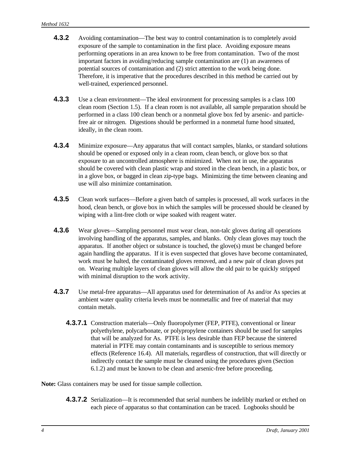- **4.3.2** Avoiding contamination—The best way to control contamination is to completely avoid exposure of the sample to contamination in the first place. Avoiding exposure means performing operations in an area known to be free from contamination. Two of the most important factors in avoiding/reducing sample contamination are (1) an awareness of potential sources of contamination and (2) strict attention to the work being done. Therefore, it is imperative that the procedures described in this method be carried out by well-trained, experienced personnel.
- **4.3.3** Use a clean environment—The ideal environment for processing samples is a class 100 clean room (Section 1.5). If a clean room is not available, all sample preparation should be performed in a class 100 clean bench or a nonmetal glove box fed by arsenic- and particlefree air or nitrogen. Digestions should be performed in a nonmetal fume hood situated, ideally, in the clean room.
- **4.3.4** Minimize exposure—Any apparatus that will contact samples, blanks, or standard solutions should be opened or exposed only in a clean room, clean bench, or glove box so that exposure to an uncontrolled atmosphere is minimized. When not in use, the apparatus should be covered with clean plastic wrap and stored in the clean bench, in a plastic box, or in a glove box, or bagged in clean zip-type bags. Minimizing the time between cleaning and use will also minimize contamination.
- **4.3.5** Clean work surfaces—Before a given batch of samples is processed, all work surfaces in the hood, clean bench, or glove box in which the samples will be processed should be cleaned by wiping with a lint-free cloth or wipe soaked with reagent water.
- **4.3.6** Wear gloves—Sampling personnel must wear clean, non-talc gloves during all operations involving handling of the apparatus, samples, and blanks. Only clean gloves may touch the apparatus. If another object or substance is touched, the glove(s) must be changed before again handling the apparatus. If it is even suspected that gloves have become contaminated, work must be halted, the contaminated gloves removed, and a new pair of clean gloves put on. Wearing multiple layers of clean gloves will allow the old pair to be quickly stripped with minimal disruption to the work activity.
- **4.3.7** Use metal-free apparatus—All apparatus used for determination of As and/or As species at ambient water quality criteria levels must be nonmetallic and free of material that may contain metals.
	- **4.3.7.1** Construction materials—Only fluoropolymer (FEP, PTFE), conventional or linear polyethylene, polycarbonate, or polypropylene containers should be used for samples that will be analyzed for As. PTFE is less desirable than FEP because the sintered material in PTFE may contain contaminants and is susceptible to serious memory effects (Reference 16.4). All materials, regardless of construction, that will directly or indirectly contact the sample must be cleaned using the procedures given (Section 6.1.2) and must be known to be clean and arsenic-free before proceeding.

**Note:** Glass containers may be used for tissue sample collection.

**4.3.7.2** Serialization—It is recommended that serial numbers be indelibly marked or etched on each piece of apparatus so that contamination can be traced. Logbooks should be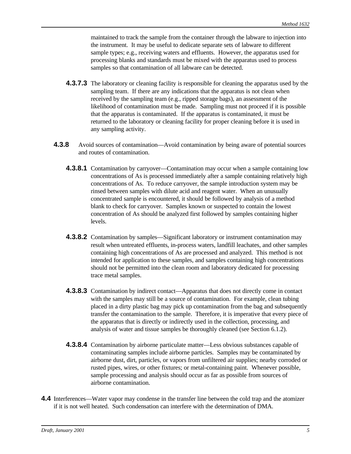maintained to track the sample from the container through the labware to injection into the instrument. It may be useful to dedicate separate sets of labware to different sample types; e.g., receiving waters and effluents. However, the apparatus used for processing blanks and standards must be mixed with the apparatus used to process samples so that contamination of all labware can be detected.

- **4.3.7.3** The laboratory or cleaning facility is responsible for cleaning the apparatus used by the sampling team. If there are any indications that the apparatus is not clean when received by the sampling team (e.g., ripped storage bags), an assessment of the likelihood of contamination must be made. Sampling must not proceed if it is possible that the apparatus is contaminated. If the apparatus is contaminated, it must be returned to the laboratory or cleaning facility for proper cleaning before it is used in any sampling activity.
- **4.3.8** Avoid sources of contamination—Avoid contamination by being aware of potential sources and routes of contamination.
	- **4.3.8.1** Contamination by carryover—Contamination may occur when a sample containing low concentrations of As is processed immediately after a sample containing relatively high concentrations of As. To reduce carryover, the sample introduction system may be rinsed between samples with dilute acid and reagent water. When an unusually concentrated sample is encountered, it should be followed by analysis of a method blank to check for carryover. Samples known or suspected to contain the lowest concentration of As should be analyzed first followed by samples containing higher levels.
	- **4.3.8.2** Contamination by samples—Significant laboratory or instrument contamination may result when untreated effluents, in-process waters, landfill leachates, and other samples containing high concentrations of As are processed and analyzed. This method is not intended for application to these samples, and samples containing high concentrations should not be permitted into the clean room and laboratory dedicated for processing trace metal samples.
	- **4.3.8.3** Contamination by indirect contact—Apparatus that does not directly come in contact with the samples may still be a source of contamination. For example, clean tubing placed in a dirty plastic bag may pick up contamination from the bag and subsequently transfer the contamination to the sample. Therefore, it is imperative that every piece of the apparatus that is directly or indirectly used in the collection, processing, and analysis of water and tissue samples be thoroughly cleaned (see Section 6.1.2).
	- **4.3.8.4** Contamination by airborne particulate matter—Less obvious substances capable of contaminating samples include airborne particles. Samples may be contaminated by airborne dust, dirt, particles, or vapors from unfiltered air supplies; nearby corroded or rusted pipes, wires, or other fixtures; or metal-containing paint. Whenever possible, sample processing and analysis should occur as far as possible from sources of airborne contamination.
- **4.4** Interferences—Water vapor may condense in the transfer line between the cold trap and the atomizer if it is not well heated. Such condensation can interfere with the determination of DMA.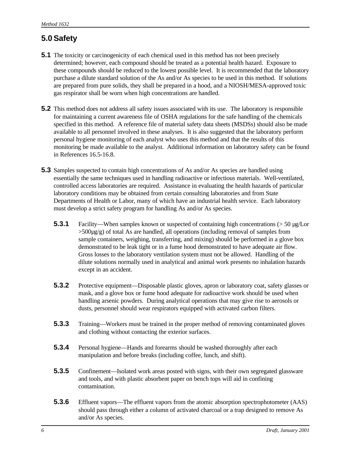# **5.0 Safety**

- **5.1** The toxicity or carcinogenicity of each chemical used in this method has not been precisely determined; however, each compound should be treated as a potential health hazard. Exposure to these compounds should be reduced to the lowest possible level. It is recommended that the laboratory purchase a dilute standard solution of the As and/or As species to be used in this method. If solutions are prepared from pure solids, they shall be prepared in a hood, and a NIOSH/MESA-approved toxic gas respirator shall be worn when high concentrations are handled.
- **5.2** This method does not address all safety issues associated with its use. The laboratory is responsible for maintaining a current awareness file of OSHA regulations for the safe handling of the chemicals specified in this method. A reference file of material safety data sheets (MSDSs) should also be made available to all personnel involved in these analyses. It is also suggested that the laboratory perform personal hygiene monitoring of each analyst who uses this method and that the results of this monitoring be made available to the analyst. Additional information on laboratory safety can be found in References 16.5-16.8.
- **5.3** Samples suspected to contain high concentrations of As and/or As species are handled using essentially the same techniques used in handling radioactive or infectious materials. Well-ventilated, controlled access laboratories are required. Assistance in evaluating the health hazards of particular laboratory conditions may be obtained from certain consulting laboratories and from State Departments of Health or Labor, many of which have an industrial health service. Each laboratory must develop a strict safety program for handling As and/or As species.
	- **5.3.1** Facility—When samples known or suspected of containing high concentrations (> 50 µg/Lor  $>500\mu$ g/g) of total As are handled, all operations (including removal of samples from sample containers, weighing, transferring, and mixing) should be performed in a glove box demonstrated to be leak tight or in a fume hood demonstrated to have adequate air flow. Gross losses to the laboratory ventilation system must not be allowed. Handling of the dilute solutions normally used in analytical and animal work presents no inhalation hazards except in an accident.
	- **5.3.2** Protective equipment—Disposable plastic gloves, apron or laboratory coat, safety glasses or mask, and a glove box or fume hood adequate for radioactive work should be used when handling arsenic powders. During analytical operations that may give rise to aerosols or dusts, personnel should wear respirators equipped with activated carbon filters.
	- **5.3.3** Training—Workers must be trained in the proper method of removing contaminated gloves and clothing without contacting the exterior surfaces.
	- **5.3.4** Personal hygiene—Hands and forearms should be washed thoroughly after each manipulation and before breaks (including coffee, lunch, and shift).
	- **5.3.5** Confinement—Isolated work areas posted with signs, with their own segregated glassware and tools, and with plastic absorbent paper on bench tops will aid in confining contamination.
	- **5.3.6** Effluent vapors—The effluent vapors from the atomic absorption spectrophotometer (AAS) should pass through either a column of activated charcoal or a trap designed to remove As and/or As species.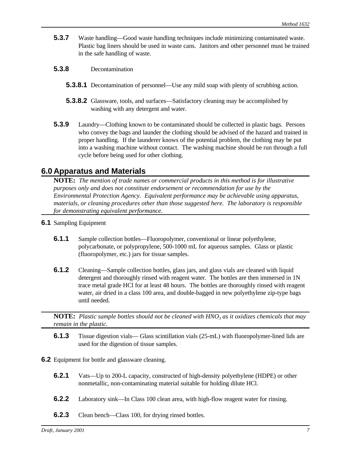- **5.3.7** Waste handling—Good waste handling techniques include minimizing contaminated waste. Plastic bag liners should be used in waste cans. Janitors and other personnel must be trained in the safe handling of waste.
- **5.3.8** Decontamination
	- **5.3.8.1** Decontamination of personnel—Use any mild soap with plenty of scrubbing action.
	- **5.3.8.2** Glassware, tools, and surfaces—Satisfactory cleaning may be accomplished by washing with any detergent and water.
- **5.3.9** Laundry—Clothing known to be contaminated should be collected in plastic bags. Persons who convey the bags and launder the clothing should be advised of the hazard and trained in proper handling. If the launderer knows of the potential problem, the clothing may be put into a washing machine without contact. The washing machine should be run through a full cycle before being used for other clothing.

### **6.0 Apparatus and Materials**

**NOTE:** *The mention of trade names or commercial products in this method is for illustrative purposes only and does not constitute endorsement or recommendation for use by the Environmental Protection Agency. Equivalent performance may be achievable using apparatus, materials, or cleaning procedures other than those suggested here. The laboratory is responsible for demonstrating equivalent performance.*

- **6.1** Sampling Equipment
	- **6.1.1** Sample collection bottles—Fluoropolymer, conventional or linear polyethylene, polycarbonate, or polypropylene, 500-1000 mL for aqueous samples. Glass or plastic (fluoropolymer, etc.) jars for tissue samples.
	- **6.1.2** Cleaning—Sample collection bottles, glass jars, and glass vials are cleaned with liquid detergent and thoroughly rinsed with reagent water. The bottles are then immersed in 1N trace metal grade HCl for at least 48 hours. The bottles are thoroughly rinsed with reagent water, air dried in a class 100 area, and double-bagged in new polyethylene zip-type bags until needed.

**NOTE:** *Plastic sample bottles should not be cleaned with HNO<sup>3</sup> as it oxidizes chemicals that may remain in the plastic.* 

- **6.1.3** Tissue digestion vials— Glass scintillation vials (25-mL) with fluoropolymer-lined lids are used for the digestion of tissue samples.
- **6.2** Equipment for bottle and glassware cleaning.
	- **6.2.1** Vats—Up to 200-L capacity, constructed of high-density polyethylene (HDPE) or other nonmetallic, non-contaminating material suitable for holding dilute HCl.
	- **6.2.2** Laboratory sink—In Class 100 clean area, with high-flow reagent water for rinsing.
	- **6.2.3** Clean bench—Class 100, for drying rinsed bottles.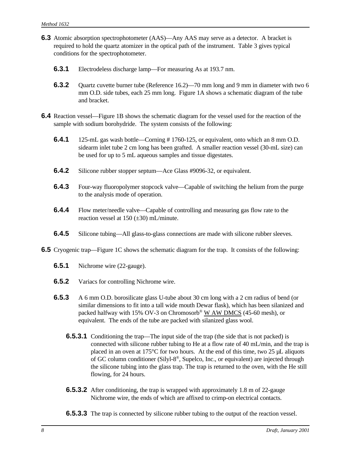- **6.3** Atomic absorption spectrophotometer (AAS)—Any AAS may serve as a detector. A bracket is required to hold the quartz atomizer in the optical path of the instrument. Table 3 gives typical conditions for the spectrophotometer.
	- **6.3.1** Electrodeless discharge lamp—For measuring As at 193.7 nm.
	- **6.3.2** Quartz cuvette burner tube (Reference 16.2)—70 mm long and 9 mm in diameter with two 6 mm O.D. side tubes, each 25 mm long. Figure 1A shows a schematic diagram of the tube and bracket.
- **6.4** Reaction vessel—Figure 1B shows the schematic diagram for the vessel used for the reaction of the sample with sodium borohydride. The system consists of the following:
	- **6.4.1** 125-mL gas wash bottle—Corning # 1760-125, or equivalent, onto which an 8 mm O.D. sidearm inlet tube 2 cm long has been grafted. A smaller reaction vessel (30-mL size) can be used for up to 5 mL aqueous samples and tissue digestates.
	- **6.4.2** Silicone rubber stopper septum—Ace Glass #9096-32, or equivalent.
	- **6.4.3** Four-way fluoropolymer stopcock valve—Capable of switching the helium from the purge to the analysis mode of operation.
	- **6.4.4** Flow meter/needle valve—Capable of controlling and measuring gas flow rate to the reaction vessel at  $150 (\pm 30)$  mL/minute.
	- **6.4.5** Silicone tubing—All glass-to-glass connections are made with silicone rubber sleeves.
- **6.5** Cryogenic trap—Figure 1C shows the schematic diagram for the trap. It consists of the following:
	- **6.5.1** Nichrome wire (22-gauge).
	- **6.5.2** Variacs for controlling Nichrome wire.
	- **6.5.3** A 6 mm O.D. borosilicate glass U-tube about 30 cm long with a 2 cm radius of bend (or similar dimensions to fit into a tall wide mouth Dewar flask), which has been silanized and packed halfway with 15% OV-3 on Chromosorb® W AW DMCS (45-60 mesh), or equivalent. The ends of the tube are packed with silanized glass wool.
		- **6.5.3.1** Conditioning the trap—The input side of the trap (the side that is not packed) is connected with silicone rubber tubing to He at a flow rate of 40 mL/min, and the trap is placed in an oven at 175 $\degree$ C for two hours. At the end of this time, two 25  $\mu$ L aliquots of GC column conditioner (Silyl-8®, Supelco, Inc., or equivalent) are injected through the silicone tubing into the glass trap. The trap is returned to the oven, with the He still flowing, for 24 hours.
		- **6.5.3.2** After conditioning, the trap is wrapped with approximately 1.8 m of 22-gauge Nichrome wire, the ends of which are affixed to crimp-on electrical contacts.
		- **6.5.3.3** The trap is connected by silicone rubber tubing to the output of the reaction vessel.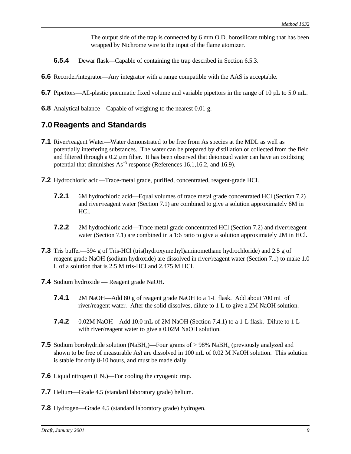The output side of the trap is connected by 6 mm O.D. borosilicate tubing that has been wrapped by Nichrome wire to the input of the flame atomizer.

- **6.5.4** Dewar flask—Capable of containing the trap described in Section 6.5.3.
- **6.6** Recorder/integrator—Any integrator with a range compatible with the AAS is acceptable.
- **6.7** Pipettors—All-plastic pneumatic fixed volume and variable pipettors in the range of 10 µL to 5.0 mL.
- **6.8** Analytical balance—Capable of weighing to the nearest 0.01 g.

## **7.0 Reagents and Standards**

- **7.1** River/reagent Water—Water demonstrated to be free from As species at the MDL as well as potentially interfering substances. The water can be prepared by distillation or collected from the field and filtered through a 0.2  $\mu$ m filter. It has been observed that deionized water can have an oxidizing potential that diminishes  $As^{3}$  response (References 16.1, 16.2, and 16.9).
- **7.2** Hydrochloric acid—Trace-metal grade, purified, concentrated, reagent-grade HCl.
	- **7.2.1** 6M hydrochloric acid—Equal volumes of trace metal grade concentrated HCl (Section 7.2) and river/reagent water (Section 7.1) are combined to give a solution approximately 6M in HCl.
	- **7.2.2** 2M hydrochloric acid—Trace metal grade concentrated HCl (Section 7.2) and river/reagent water (Section 7.1) are combined in a 1:6 ratio to give a solution approximately 2M in HCl.
- **7.3** Tris buffer—394 g of Tris-HCl (tris(hydroxymethyl)aminomethane hydrochloride) and 2.5 g of reagent grade NaOH (sodium hydroxide) are dissolved in river/reagent water (Section 7.1) to make 1.0 L of a solution that is 2.5 M tris-HCl and 2.475 M HCl.
- **7.4** Sodium hydroxide Reagent grade NaOH.
	- **7.4.1** 2M NaOH—Add 80 g of reagent grade NaOH to a 1-L flask. Add about 700 mL of river/reagent water. After the solid dissolves, dilute to 1 L to give a 2M NaOH solution.
	- **7.4.2** 0.02M NaOH—Add 10.0 mL of 2M NaOH (Section 7.4.1) to a 1-L flask. Dilute to 1 L with river/reagent water to give a 0.02M NaOH solution.
- **7.5** Sodium borohydride solution (NaBH<sub>4</sub>)—Four grams of > 98% NaBH<sub>4</sub> (previously analyzed and shown to be free of measurable As) are dissolved in 100 mL of 0.02 M NaOH solution. This solution is stable for only 8-10 hours, and must be made daily.
- **7.6** Liquid nitrogen  $(LN_2)$ —For cooling the cryogenic trap.
- **7.7** Helium—Grade 4.5 (standard laboratory grade) helium.
- **7.8** Hydrogen—Grade 4.5 (standard laboratory grade) hydrogen.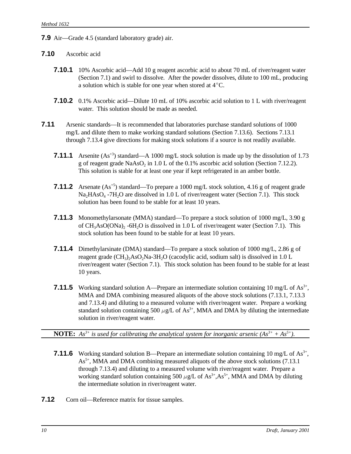**7.9** Air—Grade 4.5 (standard laboratory grade) air.

### **7.10** Ascorbic acid

- **7.10.1** 10% Ascorbic acid—Add 10 g reagent ascorbic acid to about 70 mL of river/reagent water (Section 7.1) and swirl to dissolve. After the powder dissolves, dilute to 100 mL, producing a solution which is stable for one year when stored at  $4^{\circ}$ C.
- **7.10.2** 0.1% Ascorbic acid—Dilute 10 mL of 10% ascorbic acid solution to 1 L with river/reagent water. This solution should be made as needed.
- **7.11** Arsenic standards—It is recommended that laboratories purchase standard solutions of 1000 mg/L and dilute them to make working standard solutions (Section 7.13.6). Sections 7.13.1 through 7.13.4 give directions for making stock solutions if a source is not readily available.
	- **7.11.1** Arsenite (As<sup>+3</sup>) standard—A 1000 mg/L stock solution is made up by the dissolution of 1.73 g of reagent grade  $NaAsO<sub>2</sub>$  in 1.0 L of the 0.1% ascorbic acid solution (Section 7.12.2). This solution is stable for at least one year if kept refrigerated in an amber bottle.
	- **7.11.2** Arsenate (As<sup>+5</sup>) standard—To prepare a 1000 mg/L stock solution, 4.16 g of reagent grade  $Na<sub>2</sub>HAsO<sub>4</sub> - 7H<sub>2</sub>O$  are dissolved in 1.0 L of river/reagent water (Section 7.1). This stock solution has been found to be stable for at least 10 years.
	- **7.11.3** Monomethylarsonate (MMA) standard—To prepare a stock solution of 1000 mg/L, 3.90 g of  $CH_3AsO(ONa)_2 - 6H_2O$  is dissolved in 1.0 L of river/reagent water (Section 7.1). This stock solution has been found to be stable for at least 10 years.
	- **7.11.4** Dimethylarsinate (DMA) standard—To prepare a stock solution of 1000 mg/L, 2.86 g of reagent grade  $\text{CH}_3$ <sub>2</sub>AsO<sub>2</sub>Na-3H<sub>2</sub>O (cacodylic acid, sodium salt) is dissolved in 1.0 L river/reagent water (Section 7.1). This stock solution has been found to be stable for at least 10 years.
	- **7.11.5** Working standard solution A—Prepare an intermediate solution containing 10 mg/L of  $\text{As}^{3+}$ , MMA and DMA combining measured aliquots of the above stock solutions (7.13.1, 7.13.3 and 7.13.4) and diluting to a measured volume with river/reagent water. Prepare a working standard solution containing 500  $\mu$ g/L of As<sup>3+</sup>, MMA and DMA by diluting the intermediate solution in river/reagent water.

**NOTE:**  $As^{3+}$  is used for calibrating the analytical system for inorganic arsenic  $(As^{3+} + As^{5+})$ .

- **7.11.6** Working standard solution B—Prepare an intermediate solution containing 10 mg/L of  $\text{As}^{3+}$ ,  $As<sup>5+</sup>$ , MMA and DMA combining measured aliquots of the above stock solutions (7.13.1) through 7.13.4) and diluting to a measured volume with river/reagent water. Prepare a working standard solution containing 500  $\mu$ g/L of As<sup>3+</sup>,As<sup>5+</sup>, MMA and DMA by diluting the intermediate solution in river/reagent water.
- **7.12** Corn oil—Reference matrix for tissue samples.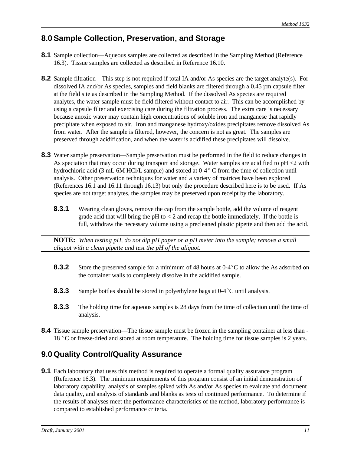# **8.0 Sample Collection, Preservation, and Storage**

- **8.1** Sample collection—Aqueous samples are collected as described in the Sampling Method (Reference 16.3). Tissue samples are collected as described in Reference 16.10.
- **8.2** Sample filtration—This step is not required if total IA and/or As species are the target analyte(s). For dissolved IA and/or As species, samples and field blanks are filtered through a 0.45 µm capsule filter at the field site as described in the Sampling Method. If the dissolved As species are required analytes, the water sample must be field filtered without contact to air. This can be accomplished by using a capsule filter and exercising care during the filtration process. The extra care is necessary because anoxic water may contain high concentrations of soluble iron and manganese that rapidly precipitate when exposed to air. Iron and manganese hydroxy/oxides precipitates remove dissolved As from water. After the sample is filtered, however, the concern is not as great. The samples are preserved through acidification, and when the water is acidified these precipitates will dissolve.
- **8.3** Water sample preservation—Sample preservation must be performed in the field to reduce changes in As speciation that may occur during transport and storage. Water samples are acidified to pH <2 with hydrochloric acid (3 mL 6M HCl/L sample) and stored at  $0-4^{\circ}$  C from the time of collection until analysis. Other preservation techniques for water and a variety of matrices have been explored (References 16.1 and 16.11 through 16.13) but only the procedure described here is to be used. If As species are not target analytes, the samples may be preserved upon receipt by the laboratory.
	- **8.3.1** Wearing clean gloves, remove the cap from the sample bottle, add the volume of reagent grade acid that will bring the  $pH$  to  $\lt 2$  and recap the bottle immediately. If the bottle is full, withdraw the necessary volume using a precleaned plastic pipette and then add the acid.

**NOTE:** *When testing pH, do not dip pH paper or a pH meter into the sample; remove a small aliquot with a clean pipette and test the pH of the aliquot.*

- **8.3.2** Store the preserved sample for a minimum of 48 hours at 0-4°C to allow the As adsorbed on the container walls to completely dissolve in the acidified sample.
- **8.3.3** Sample bottles should be stored in polyethylene bags at 0-4<sup>°</sup>C until analysis.
- **8.3.3** The holding time for aqueous samples is 28 days from the time of collection until the time of analysis.
- **8.4** Tissue sample preservation—The tissue sample must be frozen in the sampling container at less than 18 °C or freeze-dried and stored at room temperature. The holding time for tissue samples is 2 years.

# **9.0 Quality Control/Quality Assurance**

**9.1** Each laboratory that uses this method is required to operate a formal quality assurance program (Reference 16.3). The minimum requirements of this program consist of an initial demonstration of laboratory capability, analysis of samples spiked with As and/or As species to evaluate and document data quality, and analysis of standards and blanks as tests of continued performance. To determine if the results of analyses meet the performance characteristics of the method, laboratory performance is compared to established performance criteria.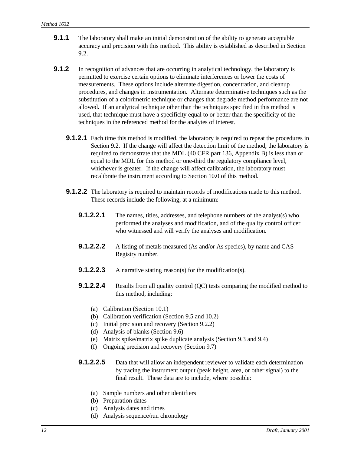- **9.1.1** The laboratory shall make an initial demonstration of the ability to generate acceptable accuracy and precision with this method. This ability is established as described in Section 9.2.
- **9.1.2** In recognition of advances that are occurring in analytical technology, the laboratory is permitted to exercise certain options to eliminate interferences or lower the costs of measurements. These options include alternate digestion, concentration, and cleanup procedures, and changes in instrumentation. Alternate determinative techniques such as the substitution of a colorimetric technique or changes that degrade method performance are not allowed. If an analytical technique other than the techniques specified in this method is used, that technique must have a specificity equal to or better than the specificity of the techniques in the referenced method for the analytes of interest.
	- **9.1.2.1** Each time this method is modified, the laboratory is required to repeat the procedures in Section 9.2. If the change will affect the detection limit of the method, the laboratory is required to demonstrate that the MDL (40 CFR part 136, Appendix B) is less than or equal to the MDL for this method or one-third the regulatory compliance level, whichever is greater. If the change will affect calibration, the laboratory must recalibrate the instrument according to Section 10.0 of this method.
	- **9.1.2.2** The laboratory is required to maintain records of modifications made to this method. These records include the following, at a minimum:
		- **9.1.2.2.1** The names, titles, addresses, and telephone numbers of the analyst(s) who performed the analyses and modification, and of the quality control officer who witnessed and will verify the analyses and modification.
		- **9.1.2.2.2** A listing of metals measured (As and/or As species), by name and CAS Registry number.
		- **9.1.2.2.3** A narrative stating reason(s) for the modification(s).
		- **9.1.2.2.4** Results from all quality control (QC) tests comparing the modified method to this method, including:
			- (a) Calibration (Section 10.1)
			- (b) Calibration verification (Section 9.5 and 10.2)
			- (c) Initial precision and recovery (Section 9.2.2)
			- (d) Analysis of blanks (Section 9.6)
			- (e) Matrix spike/matrix spike duplicate analysis (Section 9.3 and 9.4)
			- (f) Ongoing precision and recovery (Section 9.7)
		- **9.1.2.2.5** Data that will allow an independent reviewer to validate each determination by tracing the instrument output (peak height, area, or other signal) to the final result. These data are to include, where possible:
			- (a) Sample numbers and other identifiers
			- (b) Preparation dates
			- (c) Analysis dates and times
			- (d) Analysis sequence/run chronology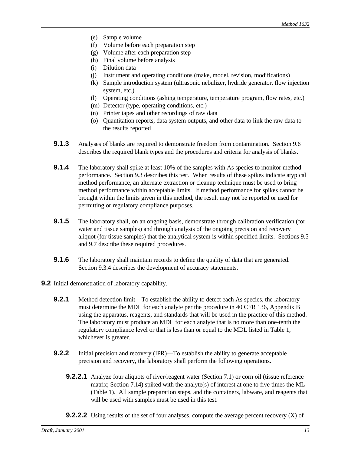- (e) Sample volume
- (f) Volume before each preparation step
- (g) Volume after each preparation step
- (h) Final volume before analysis
- (i) Dilution data
- (j) Instrument and operating conditions (make, model, revision, modifications)
- (k) Sample introduction system (ultrasonic nebulizer, hydride generator, flow injection system, etc.)
- (l) Operating conditions (ashing temperature, temperature program, flow rates, etc.)
- (m) Detector (type, operating conditions, etc.)
- (n) Printer tapes and other recordings of raw data
- (o) Quantitation reports, data system outputs, and other data to link the raw data to the results reported
- **9.1.3** Analyses of blanks are required to demonstrate freedom from contamination. Section 9.6 describes the required blank types and the procedures and criteria for analysis of blanks.
- **9.1.4** The laboratory shall spike at least 10% of the samples with As species to monitor method performance. Section 9.3 describes this test. When results of these spikes indicate atypical method performance, an alternate extraction or cleanup technique must be used to bring method performance within acceptable limits. If method performance for spikes cannot be brought within the limits given in this method, the result may not be reported or used for permitting or regulatory compliance purposes.
- **9.1.5** The laboratory shall, on an ongoing basis, demonstrate through calibration verification (for water and tissue samples) and through analysis of the ongoing precision and recovery aliquot (for tissue samples) that the analytical system is within specified limits. Sections 9.5 and 9.7 describe these required procedures.
- **9.1.6** The laboratory shall maintain records to define the quality of data that are generated. Section 9.3.4 describes the development of accuracy statements.
- **9.2** Initial demonstration of laboratory capability.
	- **9.2.1** Method detection limit—To establish the ability to detect each As species, the laboratory must determine the MDL for each analyte per the procedure in 40 CFR 136, Appendix B using the apparatus, reagents, and standards that will be used in the practice of this method. The laboratory must produce an MDL for each analyte that is no more than one-tenth the regulatory compliance level or that is less than or equal to the MDL listed in Table 1, whichever is greater.
	- **9.2.2** Initial precision and recovery (IPR)—To establish the ability to generate acceptable precision and recovery, the laboratory shall perform the following operations.
		- **9.2.2.1** Analyze four aliquots of river/reagent water (Section 7.1) or corn oil (tissue reference matrix; Section 7.14) spiked with the analyte(s) of interest at one to five times the ML (Table 1). All sample preparation steps, and the containers, labware, and reagents that will be used with samples must be used in this test.
		- **9.2.2.2** Using results of the set of four analyses, compute the average percent recovery (X) of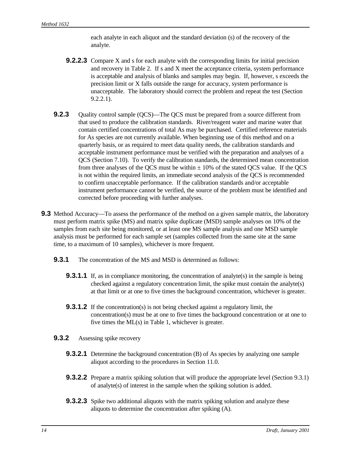each analyte in each aliquot and the standard deviation (s) of the recovery of the analyte.

- **9.2.2.3** Compare X and s for each analyte with the corresponding limits for initial precision and recovery in Table 2. If s and X meet the acceptance criteria, system performance is acceptable and analysis of blanks and samples may begin. If, however, s exceeds the precision limit or X falls outside the range for accuracy, system performance is unacceptable. The laboratory should correct the problem and repeat the test (Section 9.2.2.1).
- **9.2.3** Quality control sample (QCS)—The QCS must be prepared from a source different from that used to produce the calibration standards. River/reagent water and marine water that contain certified concentrations of total As may be purchased. Certified reference materials for As species are not currently available. When beginning use of this method and on a quarterly basis, or as required to meet data quality needs, the calibration standards and acceptable instrument performance must be verified with the preparation and analyses of a QCS (Section 7.10). To verify the calibration standards, the determined mean concentration from three analyses of the QCS must be within  $\pm$  10% of the stated QCS value. If the QCS is not within the required limits, an immediate second analysis of the QCS is recommended to confirm unacceptable performance. If the calibration standards and/or acceptable instrument performance cannot be verified, the source of the problem must be identified and corrected before proceeding with further analyses.
- **9.3** Method Accuracy—To assess the performance of the method on a given sample matrix, the laboratory must perform matrix spike (MS) and matrix spike duplicate (MSD) sample analyses on 10% of the samples from each site being monitored, or at least one MS sample analysis and one MSD sample analysis must be performed for each sample set (samples collected from the same site at the same time, to a maximum of 10 samples), whichever is more frequent.
	- **9.3.1** The concentration of the MS and MSD is determined as follows:
		- **9.3.1.1** If, as in compliance monitoring, the concentration of analyte(s) in the sample is being checked against a regulatory concentration limit, the spike must contain the analyte(s) at that limit or at one to five times the background concentration, whichever is greater.
		- **9.3.1.2** If the concentration(s) is not being checked against a regulatory limit, the concentration(s) must be at one to five times the background concentration or at one to five times the ML(s) in Table 1, whichever is greater.
	- **9.3.2** Assessing spike recovery
		- **9.3.2.1** Determine the background concentration (B) of As species by analyzing one sample aliquot according to the procedures in Section 11.0.
		- **9.3.2.2** Prepare a matrix spiking solution that will produce the appropriate level (Section 9.3.1) of analyte(s) of interest in the sample when the spiking solution is added.
		- **9.3.2.3** Spike two additional aliquots with the matrix spiking solution and analyze these aliquots to determine the concentration after spiking (A).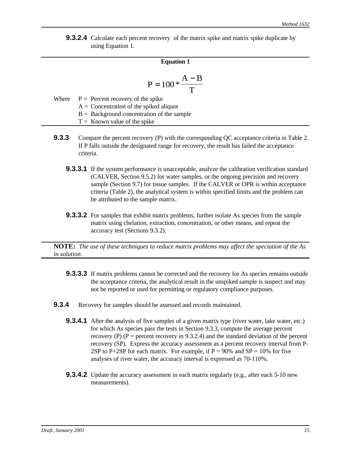**9.3.2.4** Calculate each percent recovery of the matrix spike and matrix spike duplicate by using Equation 1.

### **Equation 1**

$$
P = 100 * \frac{A - B}{T}
$$

| Where $P =$ Percent recovery of the spike    |
|----------------------------------------------|
| $A =$ Concentration of the spiked aliquot    |
| $B =$ Background concentration of the sample |

 $T =$  Known value of the spike

- **9.3.3** Compare the percent recovery (P) with the corresponding QC acceptance criteria in Table 2. If P falls outside the designated range for recovery, the result has failed the acceptance criteria.
	- **9.3.3.1** If the system performance is unacceptable, analyze the calibration verification standard (CALVER, Section 9.5.2) for water samples, or the ongoing precision and recovery sample (Section 9.7) for tissue samples. If the CALVER or OPR is within acceptance criteria (Table 2), the analytical system is within specified limits and the problem can be attributed to the sample matrix.
	- **9.3.3.2** For samples that exhibit matrix problems, further isolate As species from the sample matrix using chelation, extraction, concentration, or other means, and repeat the accuracy test (Sections 9.3.2).

**NOTE:** *The use of these techniques to reduce matrix problems may affect the speciation of the As in solution.*

- **9.3.3.3** If matrix problems cannot be corrected and the recovery for As species remains outside the acceptance criteria, the analytical result in the unspiked sample is suspect and may not be reported or used for permitting or regulatory compliance purposes.
- **9.3.4** Recovery for samples should be assessed and records maintained.
	- **9.3.4.1** After the analysis of five samples of a given matrix type (river water, lake water, etc.) for which As species pass the tests in Section 9.3.3, compute the average percent recovery (P) ( $P =$  percent recovery in 9.3.2.4) and the standard deviation of the percent recovery (SP). Express the accuracy assessment as a percent recovery interval from P-2SP to P+2SP for each matrix. For example, if  $P = 90\%$  and  $SP = 10\%$  for five analyses of river water, the accuracy interval is expressed as 70-110%.
	- **9.3.4.2** Update the accuracy assessment in each matrix regularly (e.g., after each 5-10 new measurements).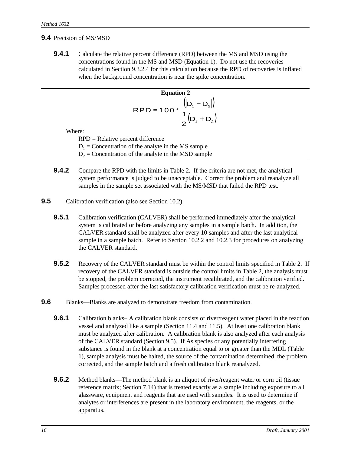### **9.4** Precision of MS/MSD

**9.4.1** Calculate the relative percent difference (RPD) between the MS and MSD using the concentrations found in the MS and MSD (Equation 1). Do not use the recoveries calculated in Section 9.3.2.4 for this calculation because the RPD of recoveries is inflated when the background concentration is near the spike concentration.

Equation 2  
\n
$$
RPD = 100 * \frac{(|D_1 - D_2|)}{\frac{1}{2}(D_1 + D_2)}
$$

Where:

RPD = Relative percent difference  $D_1$  = Concentration of the analyte in the MS sample  $D_2$  = Concentration of the analyte in the MSD sample

- **9.4.2** Compare the RPD with the limits in Table 2. If the criteria are not met, the analytical system performance is judged to be unacceptable. Correct the problem and reanalyze all samples in the sample set associated with the MS/MSD that failed the RPD test.
- **9.5** Calibration verification (also see Section 10.2)
	- **9.5.1** Calibration verification (CALVER) shall be performed immediately after the analytical system is calibrated or before analyzing any samples in a sample batch. In addition, the CALVER standard shall be analyzed after every 10 samples and after the last analytical sample in a sample batch. Refer to Section 10.2.2 and 10.2.3 for procedures on analyzing the CALVER standard.
	- **9.5.2** Recovery of the CALVER standard must be within the control limits specified in Table 2. If recovery of the CALVER standard is outside the control limits in Table 2, the analysis must be stopped, the problem corrected, the instrument recalibrated, and the calibration verified. Samples processed after the last satisfactory calibration verification must be re-analyzed.
- **9.6** Blanks—Blanks are analyzed to demonstrate freedom from contamination.
	- **9.6.1** Calibration blanks– A calibration blank consists of river/reagent water placed in the reaction vessel and analyzed like a sample (Section 11.4 and 11.5). At least one calibration blank must be analyzed after calibration. A calibration blank is also analyzed after each analysis of the CALVER standard (Section 9.5). If As species or any potentially interfering substance is found in the blank at a concentration equal to or greater than the MDL (Table 1), sample analysis must be halted, the source of the contamination determined, the problem corrected, and the sample batch and a fresh calibration blank reanalyzed.
	- **9.6.2** Method blanks—The method blank is an aliquot of river/reagent water or corn oil (tissue reference matrix; Section 7.14) that is treated exactly as a sample including exposure to all glassware, equipment and reagents that are used with samples. It is used to determine if analytes or interferences are present in the laboratory environment, the reagents, or the apparatus.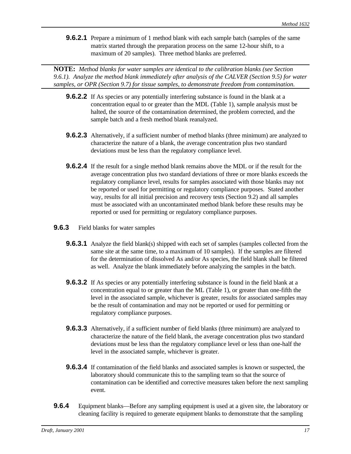**9.6.2.1** Prepare a minimum of 1 method blank with each sample batch (samples of the same matrix started through the preparation process on the same 12-hour shift, to a maximum of 20 samples). Three method blanks are preferred.

**NOTE:** *Method blanks for water samples are identical to the calibration blanks (see Section 9.6.1). Analyze the method blank immediately after analysis of the CALVER (Section 9.5) for water samples, or OPR (Section 9.7) for tissue samples, to demonstrate freedom from contamination.*

- **9.6.2.2** If As species or any potentially interfering substance is found in the blank at a concentration equal to or greater than the MDL (Table 1), sample analysis must be halted, the source of the contamination determined, the problem corrected, and the sample batch and a fresh method blank reanalyzed.
- **9.6.2.3** Alternatively, if a sufficient number of method blanks (three minimum) are analyzed to characterize the nature of a blank, the average concentration plus two standard deviations must be less than the regulatory compliance level.
- **9.6.2.4** If the result for a single method blank remains above the MDL or if the result for the average concentration plus two standard deviations of three or more blanks exceeds the regulatory compliance level, results for samples associated with those blanks may not be reported or used for permitting or regulatory compliance purposes. Stated another way, results for all initial precision and recovery tests (Section 9.2) and all samples must be associated with an uncontaminated method blank before these results may be reported or used for permitting or regulatory compliance purposes.
- **9.6.3** Field blanks for water samples
	- **9.6.3.1** Analyze the field blank(s) shipped with each set of samples (samples collected from the same site at the same time, to a maximum of 10 samples). If the samples are filtered for the determination of dissolved As and/or As species, the field blank shall be filtered as well. Analyze the blank immediately before analyzing the samples in the batch.
	- **9.6.3.2** If As species or any potentially interfering substance is found in the field blank at a concentration equal to or greater than the ML (Table 1), or greater than one-fifth the level in the associated sample, whichever is greater, results for associated samples may be the result of contamination and may not be reported or used for permitting or regulatory compliance purposes.
	- **9.6.3.3** Alternatively, if a sufficient number of field blanks (three minimum) are analyzed to characterize the nature of the field blank, the average concentration plus two standard deviations must be less than the regulatory compliance level or less than one-half the level in the associated sample, whichever is greater.
	- **9.6.3.4** If contamination of the field blanks and associated samples is known or suspected, the laboratory should communicate this to the sampling team so that the source of contamination can be identified and corrective measures taken before the next sampling event.
- **9.6.4** Equipment blanks—Before any sampling equipment is used at a given site, the laboratory or cleaning facility is required to generate equipment blanks to demonstrate that the sampling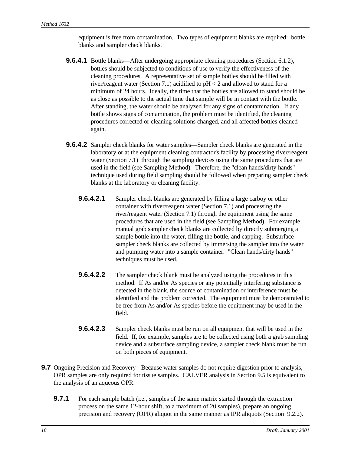equipment is free from contamination. Two types of equipment blanks are required: bottle blanks and sampler check blanks.

- **9.6.4.1** Bottle blanks—After undergoing appropriate cleaning procedures (Section 6.1.2), bottles should be subjected to conditions of use to verify the effectiveness of the cleaning procedures. A representative set of sample bottles should be filled with river/reagent water (Section 7.1) acidified to pH < 2 and allowed to stand for a minimum of 24 hours. Ideally, the time that the bottles are allowed to stand should be as close as possible to the actual time that sample will be in contact with the bottle. After standing, the water should be analyzed for any signs of contamination. If any bottle shows signs of contamination, the problem must be identified, the cleaning procedures corrected or cleaning solutions changed, and all affected bottles cleaned again.
- **9.6.4.2** Sampler check blanks for water samples—Sampler check blanks are generated in the laboratory or at the equipment cleaning contractor's facility by processing river/reagent water (Section 7.1) through the sampling devices using the same procedures that are used in the field (see Sampling Method). Therefore, the "clean hands/dirty hands" technique used during field sampling should be followed when preparing sampler check blanks at the laboratory or cleaning facility.
	- **9.6.4.2.1** Sampler check blanks are generated by filling a large carboy or other container with river/reagent water (Section 7.1) and processing the river/reagent water (Section 7.1) through the equipment using the same procedures that are used in the field (see Sampling Method). For example, manual grab sampler check blanks are collected by directly submerging a sample bottle into the water, filling the bottle, and capping. Subsurface sampler check blanks are collected by immersing the sampler into the water and pumping water into a sample container. "Clean hands/dirty hands" techniques must be used.
	- **9.6.4.2.2** The sampler check blank must be analyzed using the procedures in this method. If As and/or As species or any potentially interfering substance is detected in the blank, the source of contamination or interference must be identified and the problem corrected. The equipment must be demonstrated to be free from As and/or As species before the equipment may be used in the field.
	- **9.6.4.2.3** Sampler check blanks must be run on all equipment that will be used in the field. If, for example, samples are to be collected using both a grab sampling device and a subsurface sampling device, a sampler check blank must be run on both pieces of equipment.
- **9.7** Ongoing Precision and Recovery Because water samples do not require digestion prior to analysis, OPR samples are only required for tissue samples. CALVER analysis in Section 9.5 is equivalent to the analysis of an aqueous OPR.
	- **9.7.1** For each sample batch (i.e., samples of the same matrix started through the extraction process on the same 12-hour shift, to a maximum of 20 samples), prepare an ongoing precision and recovery (OPR) aliquot in the same manner as IPR aliquots (Section 9.2.2).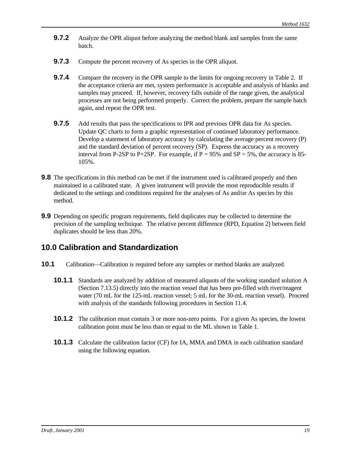- **9.7.2** Analyze the OPR aliquot before analyzing the method blank and samples from the same batch.
- **9.7.3** Compute the percent recovery of As species in the OPR aliquot.
- **9.7.4** Compare the recovery in the OPR sample to the limits for ongoing recovery in Table 2. If the acceptance criteria are met, system performance is acceptable and analysis of blanks and samples may proceed. If, however, recovery falls outside of the range given, the analytical processes are not being performed properly. Correct the problem, prepare the sample batch again, and repeat the OPR test.
- **9.7.5** Add results that pass the specifications to IPR and previous OPR data for As species. Update QC charts to form a graphic representation of continued laboratory performance. Develop a statement of laboratory accuracy by calculating the average percent recovery (P) and the standard deviation of percent recovery (SP). Express the accuracy as a recovery interval from P-2SP to P+2SP. For example, if  $P = 95\%$  and  $SP = 5\%$ , the accuracy is 85-105%.
- **9.8** The specifications in this method can be met if the instrument used is calibrated properly and then maintained in a calibrated state. A given instrument will provide the most reproducible results if dedicated to the settings and conditions required for the analyses of As and/or As species by this method.
- **9.9** Depending on specific program requirements, field duplicates may be collected to determine the precision of the sampling technique. The relative percent difference (RPD, Equation 2) between field duplicates should be less than 20%.

## **10.0 Calibration and Standardization**

- **10.1** Calibration—Calibration is required before any samples or method blanks are analyzed.
	- **10.1.1** Standards are analyzed by addition of measured aliquots of the working standard solution A (Section 7.13.5) directly into the reaction vessel that has been pre-filled with river/reagent water (70 mL for the 125-mL reaction vessel; 5 mL for the 30-mL reaction vessel). Proceed with analysis of the standards following procedures in Section 11.4.
	- **10.1.2** The calibration must contain 3 or more non-zero points. For a given As species, the lowest calibration point must be less than or equal to the ML shown in Table 1.
	- **10.1.3** Calculate the calibration factor (CF) for IA, MMA and DMA in each calibration standard using the following equation.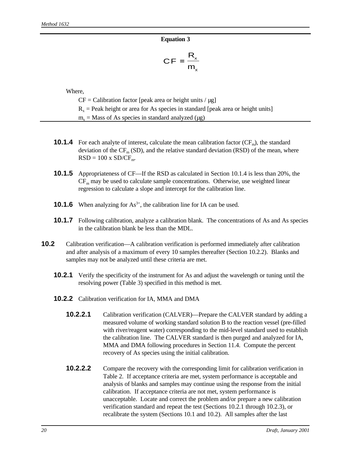#### **Equation 3**

$$
CF = \frac{R_x}{m_x}
$$

Where,

 $CF = California$  factor [peak area or height units /  $\mu$ g]  $R<sub>x</sub>$  = Peak height or area for As species in standard [peak area or height units]  $m_x$  = Mass of As species in standard analyzed ( $\mu$ g)

- **10.1.4** For each analyte of interest, calculate the mean calibration factor  $(CF_m)$ , the standard deviation of the  $CF_m(SD)$ , and the relative standard deviation (RSD) of the mean, where  $RSD = 100 \text{ x } SD/CF_{\text{m}}$ .
- **10.1.5** Appropriateness of CF—If the RSD as calculated in Section 10.1.4 is less than 20%, the  $CF<sub>m</sub>$  may be used to calculate sample concentrations. Otherwise, use weighted linear regression to calculate a slope and intercept for the calibration line.
- **10.1.6** When analyzing for As<sup>3+</sup>, the calibration line for IA can be used.
- **10.1.7** Following calibration, analyze a calibration blank. The concentrations of As and As species in the calibration blank be less than the MDL.
- **10.2** Calibration verification—A calibration verification is performed immediately after calibration and after analysis of a maximum of every 10 samples thereafter (Section 10.2.2). Blanks and samples may not be analyzed until these criteria are met.
	- **10.2.1** Verify the specificity of the instrument for As and adjust the wavelength or tuning until the resolving power (Table 3) specified in this method is met.
	- **10.2.2** Calibration verification for IA, MMA and DMA
		- **10.2.2.1** Calibration verification (CALVER)—Prepare the CALVER standard by adding a measured volume of working standard solution B to the reaction vessel (pre-filled with river/reagent water) corresponding to the mid-level standard used to establish the calibration line. The CALVER standard is then purged and analyzed for IA, MMA and DMA following procedures in Section 11.4. Compute the percent recovery of As species using the initial calibration.
		- **10.2.2.2** Compare the recovery with the corresponding limit for calibration verification in Table 2. If acceptance criteria are met, system performance is acceptable and analysis of blanks and samples may continue using the response from the initial calibration. If acceptance criteria are not met, system performance is unacceptable. Locate and correct the problem and/or prepare a new calibration verification standard and repeat the test (Sections 10.2.1 through 10.2.3), or recalibrate the system (Sections 10.1 and 10.2). All samples after the last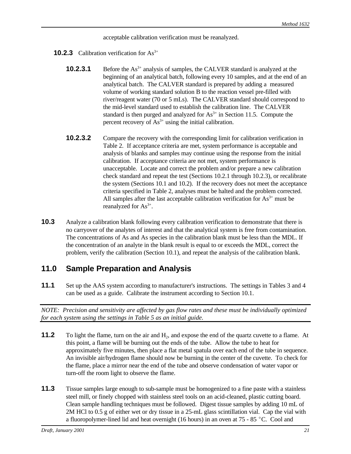acceptable calibration verification must be reanalyzed.

- **10.2.3** Calibration verification for  $As^{3+}$ 
	- **10.2.3.1** Before the As<sup>3+</sup> analysis of samples, the CALVER standard is analyzed at the beginning of an analytical batch, following every 10 samples, and at the end of an analytical batch. The CALVER standard is prepared by adding a measured volume of working standard solution B to the reaction vessel pre-filled with river/reagent water (70 or 5 mLs). The CALVER standard should correspond to the mid-level standard used to establish the calibration line. The CALVER standard is then purged and analyzed for  $As<sup>3+</sup>$  in Section 11.5. Compute the percent recovery of  $As<sup>3+</sup>$  using the initial calibration.
	- **10.2.3.2** Compare the recovery with the corresponding limit for calibration verification in Table 2. If acceptance criteria are met, system performance is acceptable and analysis of blanks and samples may continue using the response from the initial calibration. If acceptance criteria are not met, system performance is unacceptable. Locate and correct the problem and/or prepare a new calibration check standard and repeat the test (Sections 10.2.1 through 10.2.3), or recalibrate the system (Sections 10.1 and 10.2). If the recovery does not meet the acceptance criteria specified in Table 2, analyses must be halted and the problem corrected. All samples after the last acceptable calibration verification for  $As<sup>3+</sup>$  must be reanalyzed for  $As^{3+}$ .
- **10.3** Analyze a calibration blank following every calibration verification to demonstrate that there is no carryover of the analytes of interest and that the analytical system is free from contamination. The concentrations of As and As species in the calibration blank must be less than the MDL. If the concentration of an analyte in the blank result is equal to or exceeds the MDL, correct the problem, verify the calibration (Section 10.1), and repeat the analysis of the calibration blank.

# **11.0 Sample Preparation and Analysis**

**11.1** Set up the AAS system according to manufacturer's instructions. The settings in Tables 3 and 4 can be used as a guide. Calibrate the instrument according to Section 10.1.

*NOTE: Precision and sensitivity are affected by gas flow rates and these must be individually optimized for each system using the settings in Table 5 as an initial guide.*

- **11.2** To light the flame, turn on the air and H<sub>2</sub>, and expose the end of the quartz cuvette to a flame. At this point, a flame will be burning out the ends of the tube. Allow the tube to heat for approximately five minutes, then place a flat metal spatula over each end of the tube in sequence. An invisible air/hydrogen flame should now be burning in the center of the cuvette. To check for the flame, place a mirror near the end of the tube and observe condensation of water vapor or turn-off the room light to observe the flame.
- **11.3** Tissue samples large enough to sub-sample must be homogenized to a fine paste with a stainless steel mill, or finely chopped with stainless steel tools on an acid-cleaned, plastic cutting board. Clean sample handling techniques must be followed. Digest tissue samples by adding 10 mL of 2M HCl to 0.5 g of either wet or dry tissue in a 25-mL glass scintillation vial. Cap the vial with a fluoropolymer-lined lid and heat overnight (16 hours) in an oven at  $75 - 85$  °C. Cool and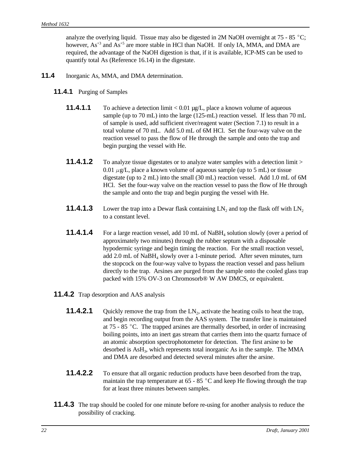analyze the overlying liquid. Tissue may also be digested in 2M NaOH overnight at 75 - 85 °C; however,  $As^{+3}$  and  $As^{+5}$  are more stable in HCl than NaOH. If only IA, MMA, and DMA are required, the advantage of the NaOH digestion is that, if it is available, ICP-MS can be used to quantify total As (Reference 16.14) in the digestate.

- **11.4** Inorganic As, MMA, and DMA determination.
	- **11.4.1** Purging of Samples
		- **11.4.1.1** To achieve a detection limit < 0.01 µg/L, place a known volume of aqueous sample (up to 70 mL) into the large (125-mL) reaction vessel. If less than 70 mL of sample is used, add sufficient river/reagent water (Section 7.1) to result in a total volume of 70 mL. Add 5.0 mL of 6M HCl. Set the four-way valve on the reaction vessel to pass the flow of He through the sample and onto the trap and begin purging the vessel with He.
		- **11.4.1.2** To analyze tissue digestates or to analyze water samples with a detection limit > 0.01  $\mu$ g/L, place a known volume of aqueous sample (up to 5 mL) or tissue digestate (up to 2 mL) into the small (30 mL) reaction vessel. Add 1.0 mL of 6M HCl. Set the four-way valve on the reaction vessel to pass the flow of He through the sample and onto the trap and begin purging the vessel with He.
		- **11.4.1.3** Lower the trap into a Dewar flask containing  $LN_2$  and top the flask off with  $LN_2$ to a constant level.
		- **11.4.1.4** For a large reaction vessel, add 10 mL of NaBH<sub>4</sub> solution slowly (over a period of approximately two minutes) through the rubber septum with a disposable hypodermic syringe and begin timing the reaction. For the small reaction vessel, add 2.0 mL of NaBH<sub>4</sub> slowly over a 1-minute period. After seven minutes, turn the stopcock on the four-way valve to bypass the reaction vessel and pass helium directly to the trap. Arsines are purged from the sample onto the cooled glass trap packed with 15% OV-3 on Chromosorb® W AW DMCS, or equivalent.
	- **11.4.2** Trap desorption and AAS analysis
		- **11.4.2.1** Quickly remove the trap from the LN<sub>2</sub>, activate the heating coils to heat the trap, and begin recording output from the AAS system. The transfer line is maintained at  $75 - 85$  °C. The trapped arsines are thermally desorbed, in order of increasing boiling points, into an inert gas stream that carries them into the quartz furnace of an atomic absorption spectrophotometer for detection. The first arsine to be desorbed is AsH<sub>3</sub>, which represents total inorganic As in the sample. The MMA and DMA are desorbed and detected several minutes after the arsine.
		- **11.4.2.2** To ensure that all organic reduction products have been desorbed from the trap, maintain the trap temperature at  $65 - 85$  °C and keep He flowing through the trap for at least three minutes between samples.
	- **11.4.3** The trap should be cooled for one minute before re-using for another analysis to reduce the possibility of cracking.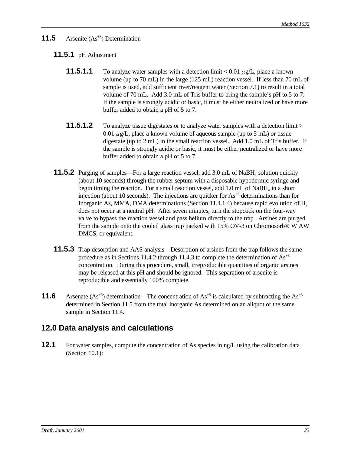### **11.5** Arsenite (As<sup>+3</sup>) Determination

### **11.5.1** pH Adjustment

- **11.5.1.1** To analyze water samples with a detection limit  $\lt 0.01 \mu g/L$ , place a known volume (up to 70 mL) in the large (125-mL) reaction vessel. If less than 70 mL of sample is used, add sufficient river/reagent water (Section 7.1) to result in a total volume of 70 mL. Add 3.0 mL of Tris buffer to bring the sample's pH to 5 to 7. If the sample is strongly acidic or basic, it must be either neutralized or have more buffer added to obtain a pH of 5 to 7.
- **11.5.1.2** To analyze tissue digestates or to analyze water samples with a detection limit > 0.01  $\mu$ g/L, place a known volume of aqueous sample (up to 5 mL) or tissue digestate (up to 2 mL) in the small reaction vessel. Add 1.0 mL of Tris buffer. If the sample is strongly acidic or basic, it must be either neutralized or have more buffer added to obtain a pH of 5 to 7.
- **11.5.2** Purging of samples—For a large reaction vessel, add 3.0 mL of NaBH<sub>4</sub> solution quickly (about 10 seconds) through the rubber septum with a disposable hypodermic syringe and begin timing the reaction. For a small reaction vessel, add 1.0 mL of NaBH<sub>4</sub> in a short injection (about 10 seconds). The injections are quicker for  $As<sup>3</sup>$  determinations than for Inorganic As, MMA, DMA determinations (Section 11.4.1.4) because rapid evolution of  $H_2$ does not occur at a neutral pH. After seven minutes, turn the stopcock on the four-way valve to bypass the reaction vessel and pass helium directly to the trap. Arsines are purged from the sample onto the cooled glass trap packed with 15% OV-3 on Chromosorb® W AW DMCS, or equivalent.
- **11.5.3** Trap desorption and AAS analysis—Desorption of arsines from the trap follows the same procedure as in Sections 11.4.2 through 11.4.3 to complete the determination of  $As^{+3}$ concentration. During this procedure, small, irreproducible quantities of organic arsines may be released at this pH and should be ignored. This separation of arsenite is reproducible and essentially 100% complete.
- **11.6** Arsenate  $(As^{+5})$  determination—The concentration of  $As^{+5}$  is calculated by subtracting the  $As^{+3}$ determined in Section 11.5 from the total inorganic As determined on an aliquot of the same sample in Section 11.4.

## **12.0 Data analysis and calculations**

**12.1** For water samples, compute the concentration of As species in ng/L using the calibration data (Section 10.1):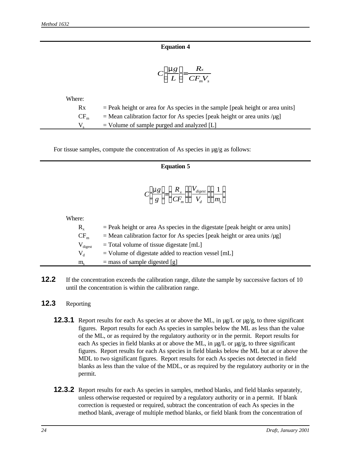### **Equation 4**

$$
C\left[\frac{mg}{L}\right] = \frac{R_x}{CF_mV_s}
$$

| Where:   |                                                                                  |
|----------|----------------------------------------------------------------------------------|
| Rx       | $=$ Peak height or area for As species in the sample [peak height or area units] |
| $CF_{m}$ | $=$ Mean calibration factor for As species [peak height or area units / $\mu$ g] |
|          | $=$ Volume of sample purged and analyzed [L]                                     |

For tissue samples, compute the concentration of As species in  $\mu$ g/g as follows:

#### **Equation 5**

$$
C\left[\frac{mg}{g}\right] = \left(\frac{R_x}{CF_m}\right)\left(\frac{V_{\text{digest}}}{V_d}\right)\left(\frac{1}{m_s}\right)
$$

Where:

| $R_{\nu}$           | $=$ Peak height or area As species in the digestate [peak height or area units]  |
|---------------------|----------------------------------------------------------------------------------|
| $CF_{m}$            | $=$ Mean calibration factor for As species [peak height or area units / $\mu$ g] |
| $V_{\text{digest}}$ | $=$ Total volume of tissue digestate [mL]                                        |
| $V_{A}$             | $=$ Volume of digestate added to reaction vessel [mL]                            |
| $m_{\rm c}$         | $=$ mass of sample digested [g]                                                  |

**12.2** If the concentration exceeds the calibration range, dilute the sample by successive factors of 10 until the concentration is within the calibration range.

### **12.3** Reporting

- **12.3.1** Report results for each As species at or above the ML, in  $\mu$ g/L or  $\mu$ g/g, to three significant figures. Report results for each As species in samples below the ML as less than the value of the ML, or as required by the regulatory authority or in the permit. Report results for each As species in field blanks at or above the ML, in  $\mu$ g/L or  $\mu$ g/g, to three significant figures. Report results for each As species in field blanks below the ML but at or above the MDL to two significant figures. Report results for each As species not detected in field blanks as less than the value of the MDL, or as required by the regulatory authority or in the permit.
- **12.3.2** Report results for each As species in samples, method blanks, and field blanks separately, unless otherwise requested or required by a regulatory authority or in a permit. If blank correction is requested or required, subtract the concentration of each As species in the method blank, average of multiple method blanks, or field blank from the concentration of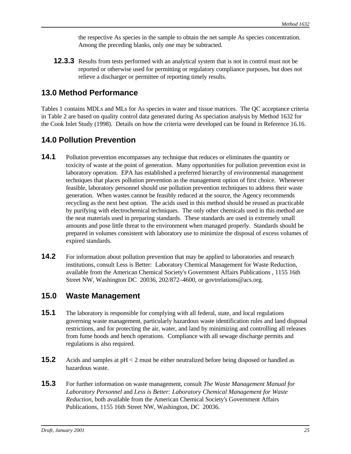the respective As species in the sample to obtain the net sample As species concentration. Among the preceding blanks, only one may be subtracted.

**12.3.3** Results from tests performed with an analytical system that is not in control must not be reported or otherwise used for permitting or regulatory compliance purposes, but does not relieve a discharger or permittee of reporting timely results.

# **13.0 Method Performance**

Tables 1 contains MDLs and MLs for As species in water and tissue matrices. The QC acceptance criteria in Table 2 are based on quality control data generated during As speciation analysis by Method 1632 for the Cook Inlet Study (1998). Details on how the criteria were developed can be found in Reference 16.16.

# **14.0 Pollution Prevention**

- **14.1** Pollution prevention encompasses any technique that reduces or eliminates the quantity or toxicity of waste at the point of generation. Many opportunities for pollution prevention exist in laboratory operation. EPA has established a preferred hierarchy of environmental management techniques that places pollution prevention as the management option of first choice. Whenever feasible, laboratory personnel should use pollution prevention techniques to address their waste generation. When wastes cannot be feasibly reduced at the source, the Agency recommends recycling as the next best option. The acids used in this method should be reused as practicable by purifying with electrochemical techniques. The only other chemicals used in this method are the neat materials used in preparing standards. These standards are used in extremely small amounts and pose little threat to the environment when managed properly. Standards should be prepared in volumes consistent with laboratory use to minimize the disposal of excess volumes of expired standards.
- **14.2** For information about pollution prevention that may be applied to laboratories and research institutions, consult Less is Better: Laboratory Chemical Management for Waste Reduction, available from the American Chemical Society's Government Affairs Publications , 1155 16th Street NW, Washington DC 20036, 202/872–4600, or govtrelations@acs.org.

## **15.0 Waste Management**

- **15.1** The laboratory is responsible for complying with all federal, state, and local regulations governing waste management, particularly hazardous waste identification rules and land disposal restrictions, and for protecting the air, water, and land by minimizing and controlling all releases from fume hoods and bench operations. Compliance with all sewage discharge permits and regulations is also required.
- **15.2** Acids and samples at pH < 2 must be either neutralized before being disposed or handled as hazardous waste.
- **15.3** For further information on waste management, consult *The Waste Management Manual for Laboratory Personnel* and *Less is Better: Laboratory Chemical Management for Waste Reduction*, both available from the American Chemical Society's Government Affairs Publications, 1155 16th Street NW, Washington, DC 20036.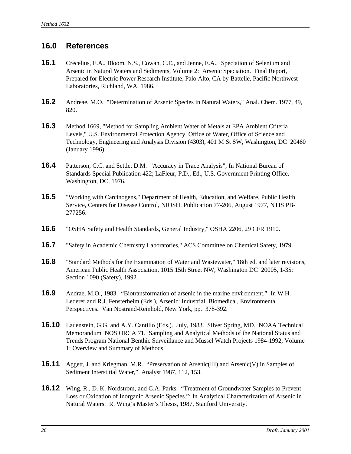## **16.0 References**

- **16.1** Crecelius, E.A., Bloom, N.S., Cowan, C.E., and Jenne, E.A., Speciation of Selenium and Arsenic in Natural Waters and Sediments, Volume 2: Arsenic Speciation. Final Report, Prepared for Electric Power Research Institute, Palo Alto, CA by Battelle, Pacific Northwest Laboratories, Richland, WA, 1986.
- **16.2** Andreae, M.O. "Determination of Arsenic Species in Natural Waters," Anal. Chem. 1977, 49, 820.
- **16.3** Method 1669, "Method for Sampling Ambient Water of Metals at EPA Ambient Criteria Levels," U.S. Environmental Protection Agency, Office of Water, Office of Science and Technology, Engineering and Analysis Division (4303), 401 M St SW, Washington, DC 20460 (January 1996).
- **16.4** Patterson, C.C. and Settle, D.M. "Accuracy in Trace Analysis"; In National Bureau of Standards Special Publication 422; LaFleur, P.D., Ed., U.S. Government Printing Office, Washington, DC, 1976.
- **16.5** "Working with Carcinogens," Department of Health, Education, and Welfare, Public Health Service, Centers for Disease Control, NIOSH, Publication 77-206, August 1977, NTIS PB-277256.
- **16.6** "OSHA Safety and Health Standards, General Industry," OSHA 2206, 29 CFR 1910.
- **16.7** "Safety in Academic Chemistry Laboratories," ACS Committee on Chemical Safety, 1979.
- **16.8** "Standard Methods for the Examination of Water and Wastewater," 18th ed. and later revisions, American Public Health Association, 1015 15th Street NW, Washington DC 20005, 1-35: Section 1090 (Safety), 1992.
- **16.9** Andrae, M.O., 1983. "Biotransformation of arsenic in the marine environment." In W.H. Lederer and R.J. Fensterheim (Eds.), Arsenic: Industrial, Biomedical, Environmental Perspectives. Van Nostrand-Reinhold, New York, pp. 378-392.
- **16.10** Lauenstein, G.G. and A.Y. Cantillo (Eds.). July, 1983. Silver Spring, MD. NOAA Technical Memorandum NOS ORCA 71. Sampling and Analytical Methods of the National Status and Trends Program National Benthic Surveillance and Mussel Watch Projects 1984-1992, Volume 1: Overview and Summary of Methods.
- **16.11** Aggett, J. and Kriegman, M.R. "Preservation of Arsenic(III) and Arsenic(V) in Samples of Sediment Interstitial Water," Analyst 1987, 112, 153.
- **16.12** Wing, R., D. K. Nordstrom, and G.A. Parks. "Treatment of Groundwater Samples to Prevent Loss or Oxidation of Inorganic Arsenic Species."; In Analytical Characterization of Arsenic in Natural Waters. R. Wing's Master's Thesis, 1987, Stanford University.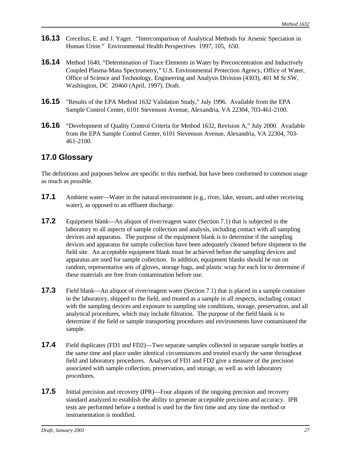- **16.13** Crecelius, E. and J. Yager. "Intercomparison of Analytical Methods for Arsenic Speciation in Human Urine." Environmental Health Perspectives 1997, 105, 650.
- **16.14** Method 1640, "Determination of Trace Elements in Water by Preconcentration and Inductively Coupled Plasma-Mass Spectrometry," U.S. Environmental Protection Agency, Office of Water, Office of Science and Technology, Engineering and Analysis Division (4303), 401 M St SW, Washington, DC 20460 (April, 1997). Draft.
- **16.15** "Results of the EPA Method 1632 Validation Study," July 1996. Available from the EPA Sample Control Center, 6101 Stevenson Avenue, Alexandria, VA 22304, 703-461-2100.
- **16.16** "Development of Quality Control Criteria for Method 1632, Revision A," July 2000. Available from the EPA Sample Control Center, 6101 Stevenson Avenue, Alexandria, VA 22304, 703- 461-2100.

## **17.0 Glossary**

The definitions and purposes below are specific to this method, but have been conformed to common usage as much as possible.

- **17.1** Ambient water—Water in the natural environment (e.g., river, lake, stream, and other receiving water), as opposed to an effluent discharge.
- **17.2** Equipment blank—An aliquot of river/reagent water (Section 7.1) that is subjected in the laboratory to all aspects of sample collection and analysis, including contact with all sampling devices and apparatus. The purpose of the equipment blank is to determine if the sampling devices and apparatus for sample collection have been adequately cleaned before shipment to the field site. An acceptable equipment blank must be achieved before the sampling devices and apparatus are used for sample collection. In addition, equipment blanks should be run on random, representative sets of gloves, storage bags, and plastic wrap for each lot to determine if these materials are free from contamination before use.
- **17.3** Field blank—An aliquot of river/reagent water (Section 7.1) that is placed in a sample container in the laboratory, shipped to the field, and treated as a sample in all respects, including contact with the sampling devices and exposure to sampling site conditions, storage, preservation, and all analytical procedures, which may include filtration. The purpose of the field blank is to determine if the field or sample transporting procedures and environments have contaminated the sample.
- **17.4** Field duplicates (FD1 and FD2)—Two separate samples collected in separate sample bottles at the same time and place under identical circumstances and treated exactly the same throughout field and laboratory procedures. Analyses of FD1 and FD2 give a measure of the precision associated with sample collection, preservation, and storage, as well as with laboratory procedures.
- **17.5** Initial precision and recovery (IPR)—Four aliquots of the ongoing precision and recovery standard analyzed to establish the ability to generate acceptable precision and accuracy. IPR tests are performed before a method is used for the first time and any time the method or instrumentation is modified.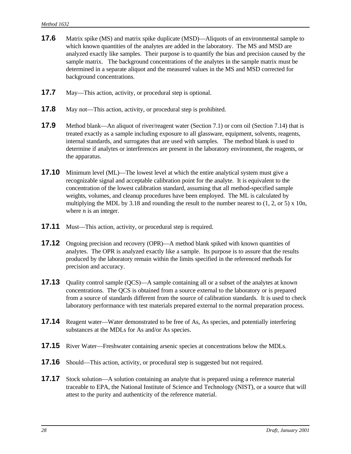- **17.6** Matrix spike (MS) and matrix spike duplicate (MSD)—Aliquots of an environmental sample to which known quantities of the analytes are added in the laboratory. The MS and MSD are analyzed exactly like samples. Their purpose is to quantify the bias and precision caused by the sample matrix. The background concentrations of the analytes in the sample matrix must be determined in a separate aliquot and the measured values in the MS and MSD corrected for background concentrations.
- **17.7** May—This action, activity, or procedural step is optional.
- **17.8** May not—This action, activity, or procedural step is prohibited.
- **17.9** Method blank—An aliquot of river/reagent water (Section 7.1) or corn oil (Section 7.14) that is treated exactly as a sample including exposure to all glassware, equipment, solvents, reagents, internal standards, and surrogates that are used with samples. The method blank is used to determine if analytes or interferences are present in the laboratory environment, the reagents, or the apparatus.
- **17.10** Minimum level (ML)—The lowest level at which the entire analytical system must give a recognizable signal and acceptable calibration point for the analyte. It is equivalent to the concentration of the lowest calibration standard, assuming that all method-specified sample weights, volumes, and cleanup procedures have been employed. The ML is calculated by multiplying the MDL by 3.18 and rounding the result to the number nearest to  $(1, 2, \text{or } 5) \times 10n$ , where n is an integer.
- **17.11** Must—This action, activity, or procedural step is required.
- **17.12** Ongoing precision and recovery (OPR)—A method blank spiked with known quantities of analytes. The OPR is analyzed exactly like a sample. Its purpose is to assure that the results produced by the laboratory remain within the limits specified in the referenced methods for precision and accuracy.
- **17.13** Quality control sample (QCS)—A sample containing all or a subset of the analytes at known concentrations. The QCS is obtained from a source external to the laboratory or is prepared from a source of standards different from the source of calibration standards. It is used to check laboratory performance with test materials prepared external to the normal preparation process.
- **17.14** Reagent water—Water demonstrated to be free of As, As species, and potentially interfering substances at the MDLs for As and/or As species.
- **17.15** River Water—Freshwater containing arsenic species at concentrations below the MDLs.
- **17.16** Should—This action, activity, or procedural step is suggested but not required.
- **17.17** Stock solution—A solution containing an analyte that is prepared using a reference material traceable to EPA, the National Institute of Science and Technology (NIST), or a source that will attest to the purity and authenticity of the reference material.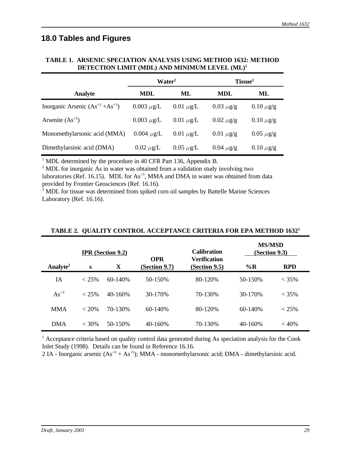## **18.0 Tables and Figures**

|                                         | Water <sup>2</sup> |                | Tissue <sup>3</sup> |                  |
|-----------------------------------------|--------------------|----------------|---------------------|------------------|
| <b>Analyte</b>                          | <b>MDL</b>         | ML             | <b>MDL</b>          | ML               |
| Inorganic Arsenic $(As^{+3} + As^{+5})$ | $0.003 \mu g/L$    | $0.01 \mu$ g/L | $0.03 \mu$ g/g      | $0.10 \ \mu g/g$ |
| Arsenite $(As+3)$                       | $0.003 \mu g/L$    | $0.01 \mu$ g/L | $0.02 \mu$ g/g      | $0.10 \mu$ g/g   |
| Monomethylarsonic acid (MMA)            | $0.004 \mu g/L$    | $0.01 \mu$ g/L | $0.01 \mu g/g$      | $0.05 \ \mu g/g$ |
| Dimethylarsinic acid (DMA)              | $0.02 \mu$ g/L     | $0.05 \mu$ g/L | $0.04 \mu$ g/g      | $0.10 \ \mu g/g$ |

### **TABLE 1. ARSENIC SPECIATION ANALYSIS USING METHOD 1632: METHOD DETECTION LIMIT (MDL) AND MINIMUM LEVEL (ML)<sup>1</sup>**

<sup>1</sup> MDL determined by the procedure in 40 CFR Part 136, Appendix B.

<sup>2</sup> MDL for inorganic As in water was obtained from a validation study involving two

laboratories (Ref. 16.15). MDL for  $As^{+3}$ , MMA and DMA in water was obtained from data provided by Frontier Geosciences (Ref. 16.16).

<sup>3</sup> MDL for tissue was determined from spiked corn oil samples by Battelle Marine Sciences Laboratory (Ref. 16.16).

|                      |          | <b>IPR</b> (Section 9.2) | <b>OPR</b>    | <b>Calibration</b><br><b>Verification</b> | <b>MS/MSD</b> | (Section 9.3) |
|----------------------|----------|--------------------------|---------------|-------------------------------------------|---------------|---------------|
| Analyte <sup>2</sup> | S        | X                        | (Section 9.7) | (Section 9.5)                             | $\%$ R        | <b>RPD</b>    |
| <b>IA</b>            | $< 25\%$ | $60 - 140%$              | 50-150%       | 80-120%                                   | 50-150%       | $< 35\%$      |
| $As^{+3}$            | $< 25\%$ | $40 - 160%$              | 30-170%       | 70-130%                                   | 30-170%       | $< 35\%$      |
| <b>MMA</b>           | < 20%    | 70-130%                  | $60 - 140%$   | 80-120%                                   | $60 - 140%$   | $< 25\%$      |
| <b>DMA</b>           | $<$ 30%  | 50-150%                  | $40 - 160%$   | 70-130%                                   | $40 - 160%$   | $< 40\%$      |

### **TABLE 2. QUALITY CONTROL ACCEPTANCE CRITERIA FOR EPA METHOD 1632<sup>1</sup>**

<sup>1</sup> Acceptance criteria based on quality control data generated during As speciation analysis for the Cook Inlet Study (1998). Details can be found in Reference 16.16.

2 IA - Inorganic arsenic  $(As<sup>+3</sup> + As<sup>+5</sup>)$ ; MMA - monomethylarsonic acid; DMA - dimethylarsinic acid.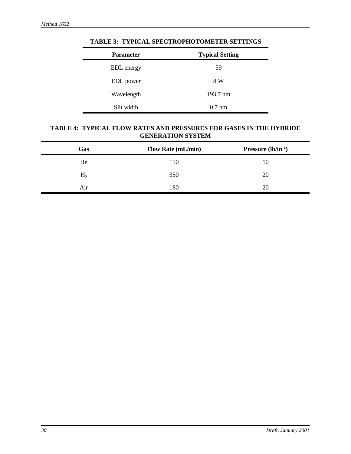| <b>Parameter</b>  | <b>Typical Setting</b> |
|-------------------|------------------------|
| <b>EDL</b> energy | 59                     |
| EDL power         | 8 W                    |
| Wavelength        | $193.7 \text{ nm}$     |
| Slit width        | $0.7 \text{ nm}$       |

**TABLE 3: TYPICAL SPECTROPHOTOMETER SETTINGS**

### **TABLE 4: TYPICAL FLOW RATES AND PRESSURES FOR GASES IN THE HYDRIDE GENERATION SYSTEM**

| Gas            | <b>Flow Rate (mL/min)</b> | <b>Pressure</b> (lb/in $^2$ ) |
|----------------|---------------------------|-------------------------------|
| He             | 150                       | 10                            |
| H <sub>2</sub> | 350                       | 20                            |
| Aır            | 180                       | 20                            |